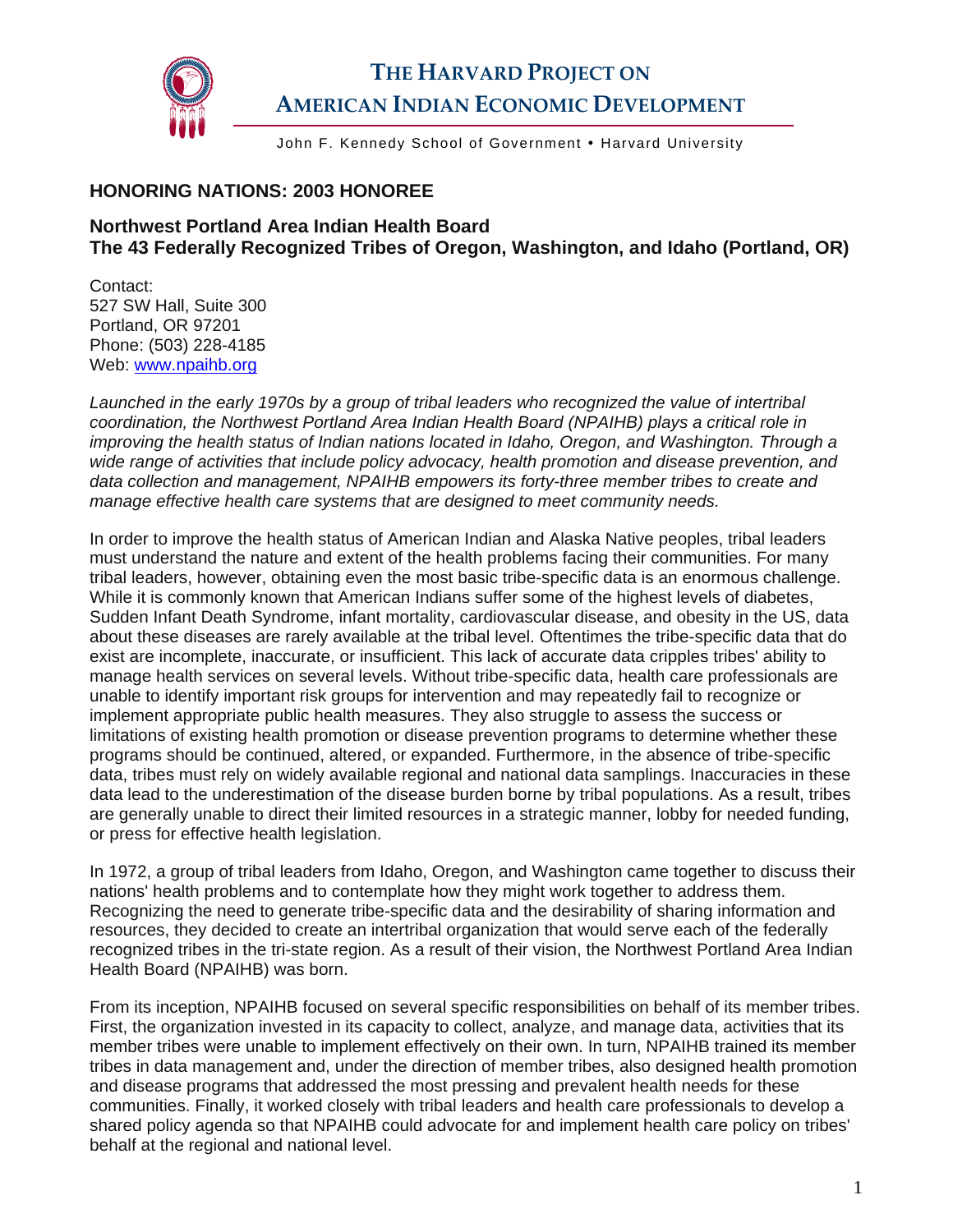

## **THE HARVARD PROJECT ON AMERICAN INDIAN ECONOMIC DEVELOPMENT**

John F. Kennedy School of Government • Harvard University

## **HONORING NATIONS: 2003 HONOREE**

## **Northwest Portland Area Indian Health Board The 43 Federally Recognized Tribes of Oregon, Washington, and Idaho (Portland, OR)**

Contact: 527 SW Hall, Suite 300 Portland, OR 97201 Phone: (503) 228-4185 Web: [www.npaihb.org](http://www.npaihb.org/)

*Launched in the early 1970s by a group of tribal leaders who recognized the value of intertribal coordination, the Northwest Portland Area Indian Health Board (NPAIHB) plays a critical role in improving the health status of Indian nations located in Idaho, Oregon, and Washington. Through a wide range of activities that include policy advocacy, health promotion and disease prevention, and data collection and management, NPAIHB empowers its forty-three member tribes to create and manage effective health care systems that are designed to meet community needs.* 

In order to improve the health status of American Indian and Alaska Native peoples, tribal leaders must understand the nature and extent of the health problems facing their communities. For many tribal leaders, however, obtaining even the most basic tribe-specific data is an enormous challenge. While it is commonly known that American Indians suffer some of the highest levels of diabetes, Sudden Infant Death Syndrome, infant mortality, cardiovascular disease, and obesity in the US, data about these diseases are rarely available at the tribal level. Oftentimes the tribe-specific data that do exist are incomplete, inaccurate, or insufficient. This lack of accurate data cripples tribes' ability to manage health services on several levels. Without tribe-specific data, health care professionals are unable to identify important risk groups for intervention and may repeatedly fail to recognize or implement appropriate public health measures. They also struggle to assess the success or limitations of existing health promotion or disease prevention programs to determine whether these programs should be continued, altered, or expanded. Furthermore, in the absence of tribe-specific data, tribes must rely on widely available regional and national data samplings. Inaccuracies in these data lead to the underestimation of the disease burden borne by tribal populations. As a result, tribes are generally unable to direct their limited resources in a strategic manner, lobby for needed funding, or press for effective health legislation.

In 1972, a group of tribal leaders from Idaho, Oregon, and Washington came together to discuss their nations' health problems and to contemplate how they might work together to address them. Recognizing the need to generate tribe-specific data and the desirability of sharing information and resources, they decided to create an intertribal organization that would serve each of the federally recognized tribes in the tri-state region. As a result of their vision, the Northwest Portland Area Indian Health Board (NPAIHB) was born.

From its inception, NPAIHB focused on several specific responsibilities on behalf of its member tribes. First, the organization invested in its capacity to collect, analyze, and manage data, activities that its member tribes were unable to implement effectively on their own. In turn, NPAIHB trained its member tribes in data management and, under the direction of member tribes, also designed health promotion and disease programs that addressed the most pressing and prevalent health needs for these communities. Finally, it worked closely with tribal leaders and health care professionals to develop a shared policy agenda so that NPAIHB could advocate for and implement health care policy on tribes' behalf at the regional and national level.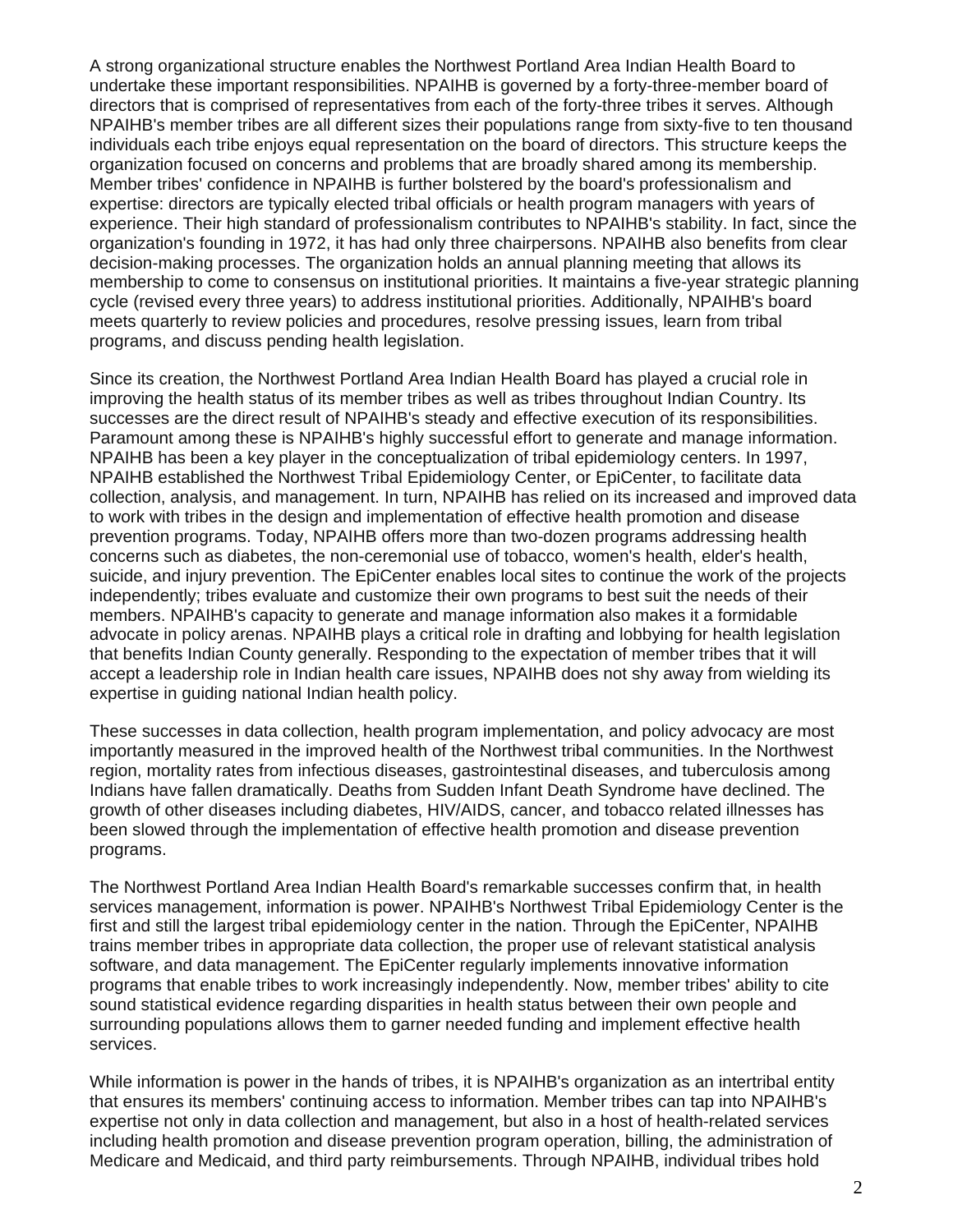A strong organizational structure enables the Northwest Portland Area Indian Health Board to undertake these important responsibilities. NPAIHB is governed by a forty-three-member board of directors that is comprised of representatives from each of the forty-three tribes it serves. Although NPAIHB's member tribes are all different sizes their populations range from sixty-five to ten thousand individuals each tribe enjoys equal representation on the board of directors. This structure keeps the organization focused on concerns and problems that are broadly shared among its membership. Member tribes' confidence in NPAIHB is further bolstered by the board's professionalism and expertise: directors are typically elected tribal officials or health program managers with years of experience. Their high standard of professionalism contributes to NPAIHB's stability. In fact, since the organization's founding in 1972, it has had only three chairpersons. NPAIHB also benefits from clear decision-making processes. The organization holds an annual planning meeting that allows its membership to come to consensus on institutional priorities. It maintains a five-year strategic planning cycle (revised every three years) to address institutional priorities. Additionally, NPAIHB's board meets quarterly to review policies and procedures, resolve pressing issues, learn from tribal programs, and discuss pending health legislation.

Since its creation, the Northwest Portland Area Indian Health Board has played a crucial role in improving the health status of its member tribes as well as tribes throughout Indian Country. Its successes are the direct result of NPAIHB's steady and effective execution of its responsibilities. Paramount among these is NPAIHB's highly successful effort to generate and manage information. NPAIHB has been a key player in the conceptualization of tribal epidemiology centers. In 1997, NPAIHB established the Northwest Tribal Epidemiology Center, or EpiCenter, to facilitate data collection, analysis, and management. In turn, NPAIHB has relied on its increased and improved data to work with tribes in the design and implementation of effective health promotion and disease prevention programs. Today, NPAIHB offers more than two-dozen programs addressing health concerns such as diabetes, the non-ceremonial use of tobacco, women's health, elder's health, suicide, and injury prevention. The EpiCenter enables local sites to continue the work of the projects independently; tribes evaluate and customize their own programs to best suit the needs of their members. NPAIHB's capacity to generate and manage information also makes it a formidable advocate in policy arenas. NPAIHB plays a critical role in drafting and lobbying for health legislation that benefits Indian County generally. Responding to the expectation of member tribes that it will accept a leadership role in Indian health care issues, NPAIHB does not shy away from wielding its expertise in guiding national Indian health policy.

These successes in data collection, health program implementation, and policy advocacy are most importantly measured in the improved health of the Northwest tribal communities. In the Northwest region, mortality rates from infectious diseases, gastrointestinal diseases, and tuberculosis among Indians have fallen dramatically. Deaths from Sudden Infant Death Syndrome have declined. The growth of other diseases including diabetes, HIV/AIDS, cancer, and tobacco related illnesses has been slowed through the implementation of effective health promotion and disease prevention programs.

The Northwest Portland Area Indian Health Board's remarkable successes confirm that, in health services management, information is power. NPAIHB's Northwest Tribal Epidemiology Center is the first and still the largest tribal epidemiology center in the nation. Through the EpiCenter, NPAIHB trains member tribes in appropriate data collection, the proper use of relevant statistical analysis software, and data management. The EpiCenter regularly implements innovative information programs that enable tribes to work increasingly independently. Now, member tribes' ability to cite sound statistical evidence regarding disparities in health status between their own people and surrounding populations allows them to garner needed funding and implement effective health services.

While information is power in the hands of tribes, it is NPAIHB's organization as an intertribal entity that ensures its members' continuing access to information. Member tribes can tap into NPAIHB's expertise not only in data collection and management, but also in a host of health-related services including health promotion and disease prevention program operation, billing, the administration of Medicare and Medicaid, and third party reimbursements. Through NPAIHB, individual tribes hold